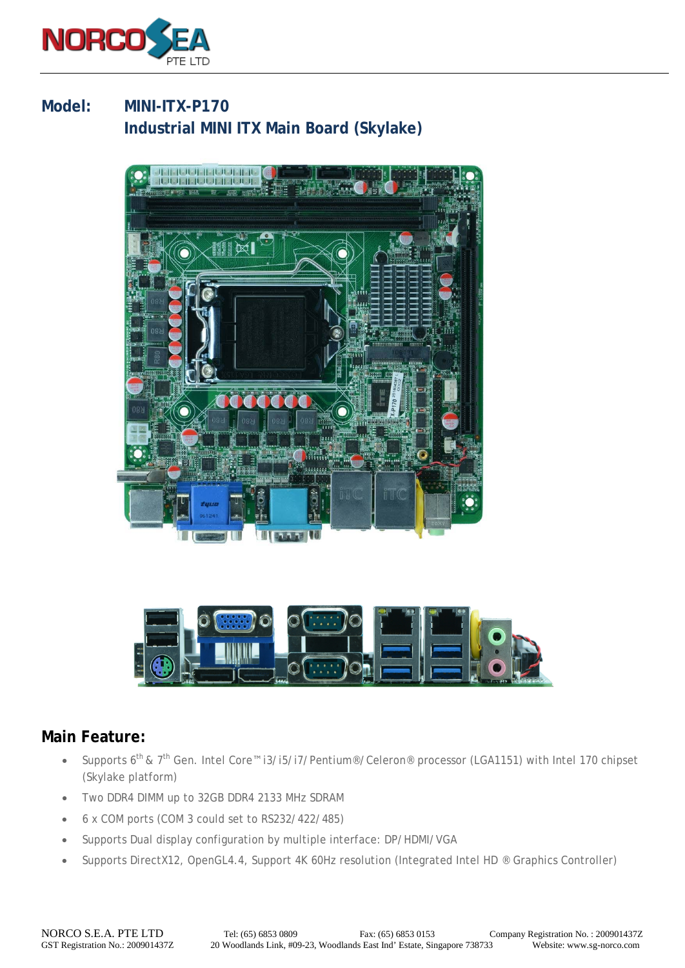

## **Model: MINI-ITX-P170 Industrial MINI ITX Main Board (Skylake)**





## **Main Feature:**

- Supports 6<sup>th</sup> & 7<sup>th</sup> Gen. Intel Core™ i3/i5/i7/Pentium®/Celeron® processor (LGA1151) with Intel 170 chipset (Skylake platform)
- Two DDR4 DIMM up to 32GB DDR4 2133 MHz SDRAM
- 6 x COM ports (COM 3 could set to RS232/422/485)
- Supports Dual display configuration by multiple interface: DP/HDMI/VGA
- Supports DirectX12, OpenGL4.4, Support 4K 60Hz resolution (Integrated Intel HD ® Graphics Controller)